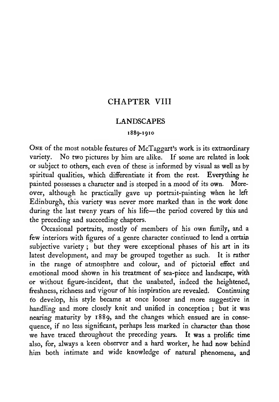### CHAPTER VIII

#### LANDSCAPES

#### 1889-1910

One of the most notable features of McTaggart's work is its extraordinary variety. No two pictures by him are alike. If some are related in look or subject to others, each even of these is informed by visual as well as by spiritual qualities, which differentiate it from the rest. Everything he painted possesses a character and is steeped in a mood of its own. Moreover, although he practically gave up portrait-painting when he left Edinburgh, this variety was never more marked than in the work done during the last tweny years of his life—the period covered by this and the preceding and succeeding chapters.

Occasional portraits, mostly of members of his own family, and <sup>a</sup> few interiors with figures of a genre character continued to lend a certain subjective variety ; but they were exceptional phases of his art in its latest development, and may be grouped together as such. It is rather in the range of atmosphere and colour, and of pictorial effect and emotional mood shown in his treatment of sea-piece and landscape, with or without figure-incident, that the unabated, indeed the heightened, freshness, richness and vigour of his inspiration are revealed. Continuing to develop, his style became at once looser and more suggestive in handling and more closely knit and unified in conception ; but it was nearing maturity by 1889, and the changes which ensued are in conse quence, if no less significant, perhaps less marked in character than those we have traced throughout the preceding years. It was a prolific time also, for, always a keen observer and a hard worker, he had now behind him both intimate and wide knowledge of natural phenomena, and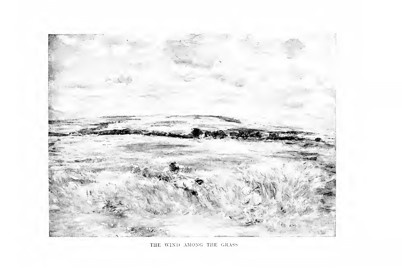

THE WIND AMONG THE GRASS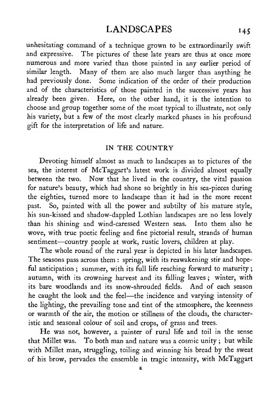### LANDSCAPES 145

unhesitating command of a technique grown to be extraordinarily swift and expressive. The pictures of these late years are thus at once more numerous and more varied than those painted in any earlier period of similar length. Many of them are also much larger than anything he had previously done. Some indication of the order of their production and of the characteristics of those painted in the successive years has already been given. Here, on the other hand, it is the intention to choose and group together some of the most typical to illustrate, not only his variety, but a few of the most clearly marked phases in his profound gift for the interpretation of life and nature.

#### IN THE COUNTRY

Devoting himself almost as much to landscapes as to pictures of the sea, the interest of McTaggart's latest work is divided almost equally between the two. Now that he lived in the country, the vital passion for nature's beauty, which had shone so brightly in his sea-pieces during the eighties, turned more to landscape than it had in the more recent past. So, painted with all the power and subtilty of his mature style, his sun-kissed and shadow-dappled Lothian landscapes are no less lovely than his shining and wind-caressed Western seas. Into them also he wove, with true poetic feeling and fine pictorial result, strands of human sentiment—country people at work, rustic lovers, children at play.

The whole round of the rural year is depicted in his later landscapes. The seasons pass across them : spring, with its reawakening stir and hopeful anticipation ; summer, with its full life reaching forward to maturity ; autumn, with its crowning harvest and its falling leaves ; winter, with its bare woodlands and its snow-shrouded fields. And of each season he caught the look and the feel—the incidence and varying intensity of the lighting, the prevailing tone and tint of the atmosphere, the keenness or warmth of the air, the motion or stillness of the clouds, the characteristic and seasonal colour of soil and crops, of grass and trees.

He was not, however, a painter of rural life and toil in the sense that Millet was. To both man and nature was <sup>a</sup> cosmic unity ; but while with Millet man, struggling, toiling and winning his bread by the sweat of his brow, pervades the ensemble in tragic intensity, with McTaggart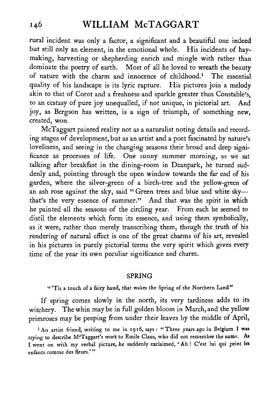rural incident was only a factor, a significant and a beautiful one indeed but still only an element, in the emotional whole. His incidents of haymaking, harvesting or shepherding enrich and mingle with rather than dominate the poetry of earth. Most of all he loved to wreath the beauty of nature with the charm and innocence of childhood.<sup>1</sup> The essential quality of his landscape is its lyric rapture. His pictures join a melody akin to that of Corot and a freshness and sparkle greater than Constable's, to an ecstasy of pure joy unequalled, if not unique, in pictorial art. And joy, as Bergson has written, is a sign of triumph, of something new, created, won.

McTaggart painted reality not as a naturalist noting details and recording stages of development, but as an artist and a poet fascinated by nature's loveliness, and seeing in the changing seasons their broad and deep significance as processes of life. One sunny summer morning, as we sat talking after breakfast in the dining-room in Deanpark, he turned suddenly and, pointing through the open window towards the far end of his garden, where the silver-green of a birch-tree and the yellow-green of an ash rose against the sky, said "Green trees and blue and white skythat's the very essence of summer." And that was the spirit in which he painted all the seasons of the circling year. From each he seemed to distil the elements which form its essence, and using them symbolically, as it were, rather than merely transcribing them, though the truth of his rendering of natural effect is one of the great charms of his art, revealed in his pictures in purely pictorial terms the very spirit which gives every time of the year its own peculiar significance and charm.

#### SPRING

"'Tis a touch of a fairy hand, that wakes the Spring of the Northern Land"

If spring comes slowly in the north, its very tardiness adds to its witchery. The whin maybe in full golden bloom in March, and the yellow primroses may be peeping from under their leaves by the middle of April,

'An artist friend, writing to me in <sup>19</sup> 16, says : "Three years ago in Belgium <sup>I</sup> was trying to describe M'Taggart's work to Emile Claus, who did not remember the name. As <sup>I</sup> went on with my verbal picture, he suddenly exclaimed, ' Ah ! C'est lui qui peint les enfants comme des fleurs.'"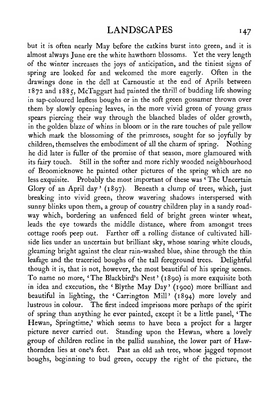but it is often nearly May before the catkins burst into green, and it is almost always June ere the white hawthorn blossoms. Yet the very length of the winter increases the joys of anticipation, and the tiniest signs of spring are looked for and welcomed the more eagerly. Often in the drawings done in the dell at Carnoustie at the end of Aprils between 1872 and 1885, McTaggart had painted the thrill of budding life showing in sap-coloured leafless boughs or in the soft green gossamer thrown over them by slowly opening leaves, in the more vivid green of young grass spears piercing their way through the blanched blades of older growth, in the golden blaze of whins in bloom or in the rare touches of pale yellow which mark the blossoming of the primroses, sought for so joyfully by children, themselves the embodiment of all the charm of spring. Nothing he did later is fuller of the promise of that season, more glamoured with its fairy touch. Still in the softer and more richly wooded neighbourhood of Broomieknowe he painted other pictures of the spring which are no less exquisite. Probably the most important of these was  $\sqrt{\ }$ The Uncertain Glory of an April day' (1897). Beneath a clump of trees, which, just breaking into vivid green, throw wavering shadows interspersed with sunny blinks upon them, a group of country children play in a sandy roadway which, bordering an unfenced field of bright green winter wheat, leads the eye towards the middle distance, where from amongst trees cottage roofs peep out. Farther off a rolling distance of cultivated hill side lies under an uncertain but brilliant sky, whose soaring white clouds, gleaming bright against the clear rain-washed blue, shine through the thin leafage and the traceried boughs of the tall foreground trees. Delightful though it is, that is not, however, the most beautiful of his spring scenes. To name no more, 'The Blackbird's Nest' (1890) is more exquisite both in idea and execution, the 'Blythe May Day' (1900) more brilliant and beautiful in lighting, the 'Carrington Mill' (1894) more lovely and lustrous in colour. The first indeed imprisons more perhaps of the spirit of spring than anything he ever painted, except it be a little panel, 'The Hewan, Springtime,' which seems to have been a project for a larger picture never carried out. Standing upon the Hewan, where a lovely group of children recline in the pallid sunshine, the lower part of Hawthornden lies at one's feet. Past an old ash tree, whose jagged topmost boughs, beginning to bud green, occupy the right of the picture, the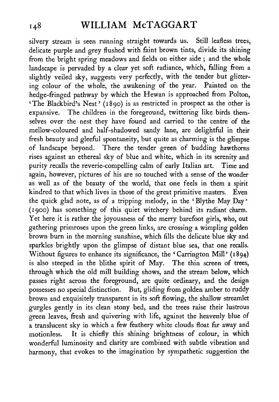silvery stream is seen running straight towards us. Still leafless trees, delicate purple and grey flushed with faint brown tints, divide its shining from the bright spring meadows and fields on either side ; and the whole landscape is pervaded by a clear yet soft radiance, which, falling from a slightly veiled sky, suggests very perfectly, with the tender but glittering colour of the whole, the awakening of the year. Painted on the hedge-fringed pathway by which the Hewan is approached from Polton, 'The Blackbird's Nest' (1890) is as restricted in prospect as the other is expansive. The children in the foreground, twittering like birds themselves over the nest they have found and carried to the centre of the mellow-coloured and half-shadowed sandy lane, are delightftil in their fresh beauty and gleeful spontaneity, but quite as charming is the glimpse of landscape beyond. There the tender green of budding hawthorns rises against an ethereal sky of blue and white, which in its serenity and purity recalls the reverie-compelling calm of early Italian art. Time and again, however, pictures of his are so touched with a sense of the wonder as well as of the beauty of the world, that one feels in them a spirit kindred to that which lives in those of the great primitive masters. Even the quick glad note, as of <sup>a</sup> tripping melody, in the ' Blythe May Day (1900) has something of this quiet witchery behind its radiant charm. Yet here it is rather the joyousness of the merry barefoot girls, who, out gathering primroses upon the green links, are crossing a wimpling golden brown burn in the morning sunshine, which fills the delicate blue sky and sparkles brightly upon the glimpse of distant blue sea, that one recalls. Without figures to enhance its significance, the 'Carrington Mill' (1894) is also steeped in the blithe spirit of May. The thin screen of trees, through which the old mill building shows, and the stream below, which passes right across the foreground, are quite ordinary, and the design possesses no special distinction. But, gliding from golden amber to ruddy brown and exquisitely transparent in its soft flowing, the shallow streamlet gurgles gently in its clean stony bed, and the trees raise their lustrous green leaves, fresh and quivering with life, against the heavenly blue of a translucent sky in which a few feathery white clouds float far away and motionless. It is chiefly this shining brightness of colour, in which wonderful luminosity and clarity are combined with subtle vibration and harmony, that evokes to the imagination by sympathetic suggestion the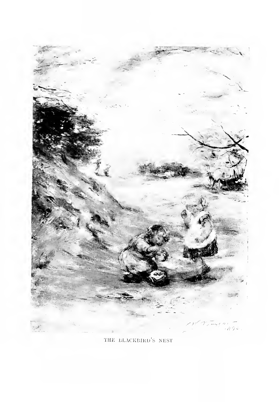

THE blackbird's NEST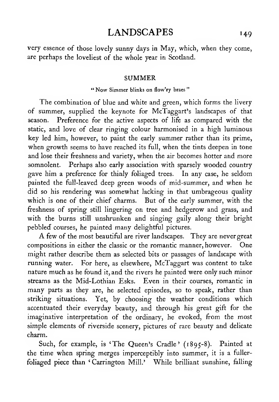### LANDSCAPES 149

very essence of those lovely sunny days in May, which, when they come, are perhaps the loveliest of the whole year in Scotland.

#### SUMMER

#### " Now Simmer blinks on flow'ry braes "

The combination of blue and white and green, which forms the livery of summer, supplied the keynote for McTaggart's landscapes of that season. Preference for the active aspects of life as compared with the static, and love of clear ringing colour harmonised in a high luminous key led him, however, to paint the early summer rather than its prime, when growth seems to have reached its full, when the tints deepen in tone and lose their freshness and variety, when the air becomes hotter and more somnolent. Perhaps also early association with sparsely wooded country gave him a preference for thinly foliaged trees. In any case, he seldom painted the full-leaved deep green woods of mid-summer, and when he did so his rendering was somewhat lacking in that umbrageous quality which is one of their chief charms. But of the early summer, with the freshness of spring still lingering on tree and hedgerow and grass, and with the burns still unshrunken and singing gaily along their bright pebbled courses, he painted many delightful pictures.

A few of the most beautiful are river landscapes. They are never great compositions in either the classic or the romantic manner, however. One might rather describe them as selected bits or passages of landscape with running water. For here, as elsewhere, McTaggart was content to take nature much as he found it, and the rivers he painted were only such minor streams as the Mid-Lothian Esks. Even in their courses, romantic in many parts as they are, he selected episodes, so to speak, rather than striking situations. Yet, by choosing the weather conditions which accentuated their everyday beauty, and through his great gift for the imaginative interpretation of the ordinary, he evoked, from the most simple elements of riverside scenery, pictures of rare beauty and delicate charm.

Such, for example, is 'The Queen's Cradle' (1895-8). Painted at the time when spring merges imperceptibly into summer, it is a fullerfoliaged piece than 'Carrington Mill.' While brilliant sunshine, falling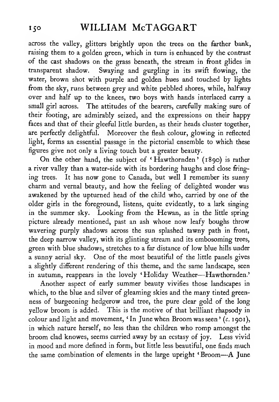across the valley, glitters brightly upon the trees on the farther bank, raising them to a golden green, which in turn is enhanced by the contrast of the cast shadows on the grass beneath, the stream in front glides in transparent shadow. Swaying and gurgling in its swift flowing, the water, brown shot with purple and golden hues and touched by lights from the sky, runs between grey and white pebbled shores, while, halfway over and half up to the knees, two boys with hands interlaced carry a small girl across. The attitudes of the bearers, carefully making sure of their footing, are admirably seized, and the expressions on their happy faces and that of their gleeful little burden, as their heads cluster together, are perfectly delightful. Moreover the flesh colour, glowing in reflected light, forms an essential passage in the pictorial ensemble to which these figures give not only a living touch but a greater beauty.

On the other hand, the subject of ' Hawthornden ' (1890) is rather a river valley than a water-side with its bordering haughs and close fringing trees. It has now gone to Canada, but well <sup>I</sup> remember its sunny charm and vernal beauty, and how the feeling of delighted wonder was awakened by the upturned head of the child who, carried by one of the older girls in the foreground, listens, quite evidently, to a lark singing in the summer sky. Looking from the Hewan, as in the little spring picture already mentioned, past an ash whose now leafy boughs throw wavering purply shadows across the sun splashed tawny path in front, the deep narrow valley, with its glinting stream and its embosoming trees, green with blue shadows, stretches to a far distance of low blue hills under a sunny aerial sky. One of the most beautiful of the little panels gives a slightly different rendering of this theme, and the same landscape, seen in autumn, reappears in the lovely 'Holiday Weather—Hawthornden.'

Another aspect of early summer beauty vivifies those landscapes in which, to the blue and silver of gleaming skies and the many tinted greenness of burgeoning hedgerow and tree, the pure clear gold of the long yellow broom is added. This is the motive of that brilliant rhapsody in colour and light and movement, 'In June when Broom was seen ' (c. 1901), in which nature herself, no less than the children who romp amongst the broom clad knowes, seems carried away by an ecstasy of joy. Less vivid in mood and more defined in form, but little less beautiful, one finds much the same combination of elements in the large upright 'Broom—^A June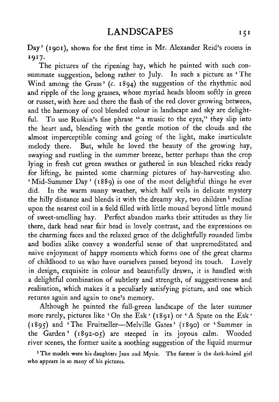Day' (1901), shown for the first time in Mr. Alexander Reid's rooms in 1917.

The pictures of the ripening hay, which he painted with such con summate suggestion, belong rather to July. In such a picture as ' The Wind among the Grass' (c. 1894) the suggestion of the rhythmic nod and ripple of the long grasses, whose myriad heads bloom softly in green or russet, with here and there the flash of the red clover growing between, and the harmony of cool blended colour in landscape and sky are delightful. To use Ruskin's fine phrase "a music to the eyes," they slip into the heart and, blending with the gentle motion of the clouds and the almost imperceptible coming and going of the light, make inarticulate melody there. But, while he loved the beauty of the growing hay, swaying and rustling in the summer breeze, better perhaps than the crop lying in fresh cut green swathes or gathered in sun bleached ricks ready for lifting, he painted some charming pictures of hay-harvesting also. 'Mid-Summer Day' (1889) is one of the most delightful things he ever did. In the warm sunny weather, which half veils in delicate mystery the hilly distance and blends it with the dreamy sky, two children<sup>1</sup> recline upon the nearest coil in <sup>a</sup> field filled with little mound beyond little mound of sweet-smelling hay. Perfect abandon marks their attitudes as they lie there, dark head near fair head in lovely contrast, and the expressions on the charming faces and the relaxed grace of the delightfully rounded limbs and bodies alike convey a wonderful sense of that unpremeditated and naive enjoyment of happy moments which forms one of the great charms of childhood to us who have ourselves passed beyond its touch. Lovely in design, exquisite in colour and beautifully drawn, it is handled with a delightful combination of subtlety and strength, of suggestiveness and realisation, which makes it a peculiarly satisfying picture, and one which returns again and again to one's memory.

Although he painted the full-green landscape of the later summer more rarely, pictures like 'On the Esk' (1891) or 'A Spate on the Esk' (1895) and 'The Fruitseller—Melville Gates' (1890) or 'Summer in the Garden' (1892-05) are steeped in its joyous calm. Wooded river scenes, the former unite a soothing suggestion of the liquid murmur

<sup>1</sup> The models were his daughters Jean and Mysie. The former is the dark-haired girl who appears in so many of his pictures.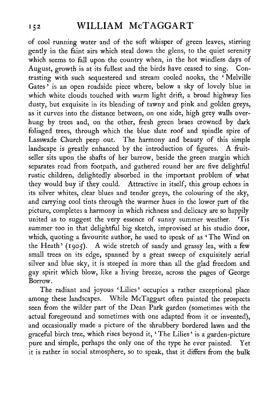of cool running water and of the soft whisper of green leaves, stirring gently in the faint airs which steal down the glens, to the quiet serenity which seems to fall upon the country when, in the hot windless days of August, growth is at its fullest and the birds have ceased to sing. Contrasting with such sequestered and stream cooled nooks, the ' Melville Gates' is an open roadside piece where, below a sky of lovely blue in which white clouds touched with warm light drift, a broad highway lies dusty, but exquisite in its blending of tawny and pink and golden greys, as it curves into the distance between, on one side, high grey walls over hung by trees and, on the other, fresh green braes crowned by dark foliaged trees, through which the blue slate roof and spindle spire of Lasswade Church peep out. The harmony and beauty of this simple landscape is greatly enhanced by the introduction of figures. A fruitseller sits upon the shafts of her barrow, beside the green margin which separates road from footpath, and gathered round her are five delightful rustic children, delightedly absorbed in the important problem of what they would buy if they could. Attractive in itself, this group echoes in its silver whites, clear blues and tender greys, the colouring of the sky, and carrying cool tints through the warmer hues in the lower part of the picture, completes a harmony in which richness and delicacy are so happily united as to suggest the very essence of sunny summer weather. 'Tis summer too in that delightful big sketch, improvised at his studio door, which, quoting <sup>a</sup> favourite author, he used to speak of as ' The Wind on the Heath' (1905). A wide stretch of sandy and grassy lea, with <sup>a</sup> few small trees on its edge, spanned by a great sweep of exquisitely aerial silver and blue sky, it is steeped in more than all the glad freedom and gay spirit which blow, like a living breeze, across the pages of George Borrow.

The radiant and joyous 'Lilies' occupies a rather exceptional place among these landscapes. While McTaggart often painted the prospects seen from the wilder part of the Dean Park garden (sometimes with the actual foreground and sometimes with one adapted from it or invented), and occasionally made <sup>a</sup> picture of the shrubbery bordered lawn and the graceful birch tree, which rises beyond it, ' The Lilies ' is a garden-picture pure and simple, perhaps the only one of the type he ever painted. Yet it is rather in social atmosphere, so to speak, that it differs from the bulk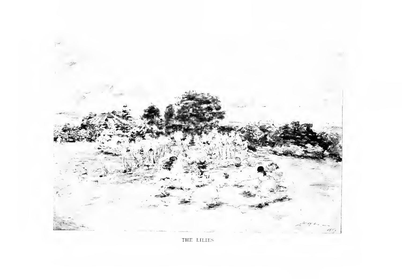

THE LILIES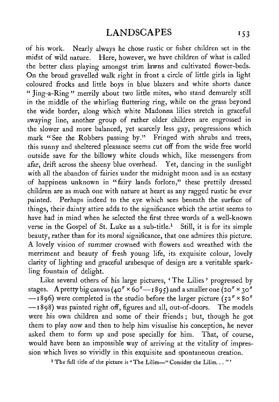of his work. Nearly always he chose rustic or fisher children set in the midst of wild nature. Here, however, we have children of what is called the better class playing amongst trim lawns and cultivated flower-beds. On the broad gravelled walk right in front <sup>a</sup> circle of little girls in light coloured frocks and little boys in blue blazers and white shorts dance " Jing-a-Ring" merrily about two little mites, who stand demurely still in the middle of the whirling fluttering ring, while on the grass beyond the wide border, along which white Madonna lilies stretch in graceful swaying line, another group of rather older children are engrossed in the slower and more balanced, yet scarcely less gay, progressions which mark "See the Robbers passing by." Fringed with shrubs and trees, this sunny and sheltered pleasance seems cut off from the wide free world outside save for the billowy white clouds which, like messengers from afar, drift across the sheeny blue overhead. Yet, dancing in the sunlight with all the abandon of fairies under the midnight moon and in an ecstasy of happiness unknown in "fairy lands forlorn," these prettily dressed children are as much one with nature at heart as any ragged rustic he ever painted. Perhaps indeed to the eye which sees beneath the surface of things, their dainty attire adds to the significance which the artist seems to have had in mind when he selected the first three words of a well-known verse in the Gospel of St. Luke as a sub-title.<sup>1</sup> Still, it is for its simple beauty, rather than for its moral significance, that one admires this picture. A lovely vision of summer crowned with flowers and wreathed with the merriment and beauty of fresh young life, its exquisite colour, lovely clarity of lighting and graceful arabesque of design are a veritable sparkling fountain of delight.

Like several others of his large pictures, 'The Lilies' progressed by stages. A pretty big canvas (40"  $\times$  60"—1895) and a smaller one (20"  $\times$  30" —1896) were completed in the studio before the larger picture (52"  $\times$  80" —1898) was painted right off, figures and all, out-of-doors. The were his own children and some of their friends ; but, though he got them to play now and then to help him visualise his conception, he never asked them to form up and pose specially for him. That, of course, would have been an impossible way of arriving at the vitality of impression which lives so vividly in this exquisite and spontaneous creation.

<sup>1</sup> The full title of the picture is 'The Lilies—" Consider the Lilies. . . "'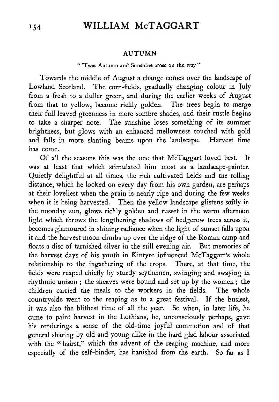#### AUTUMN

#### " 'Twas Autumn and Sunshine arose on the way "

Towards the middle of August a change comes over the landscape of Lowland Scotland. The corn-fields, gradually changing colour in July from a fresh to a duller green, and during the earlier weeks of August from that to yellow, become richly golden. The trees begin to merge their full leaved greenness in more sombre shades, and their rustle begins to take a sharper note. The sunshine loses something of its summer brightness, but glows with an enhanced mellowness touched with gold and falls in more slanting beams upon the landscape. Harvest time has come.

Of all the seasons this was the one that McTaggart loved best. It was at least that which stimulated him most as a landscape-painter. Quietly delightful at all times, the rich cultivated fields and the rolling distance, which he looked on every day from his own garden, are perhaps at their loveliest when the grain is nearly ripe and during the few weeks when it is being harvested. Then the yellow landscape glistens softly in the noonday sun, glows richly golden and russet in the warm afternoon light which throws the lengthening shadows of hedgerow trees across it, becomes glamoured in shining radiance when the light of sunset falls upon it and the harvest moon climbs up over the ridge of the Roman camp and floats a disc of tarnished silver in the still evening air. But memories of the harvest days of his youth in Kintyre influenced McTaggart's whole relationship to the ingathering of the crops. There, at that time, the fields were reaped chiefly by sturdy scythemen, swinging and swaying in rhythmic unison ; the sheaves were bound and set up by the women ; the children carried the meals to the workers in the fields. The whole countryside went to the reaping as to a great festival. If the busiest, it was also the blithest time of all the year. So when, in later life, he came to paint harvest in the Lothians, he, unconsciously perhaps, gave his renderings a sense of the old-time joyful commotion and of that general sharing by old and young alike in the hard glad labour associated with the "hairst," which the advent of the reaping machine, and more especially of the self-binder, has banished from the earth. So far as <sup>I</sup>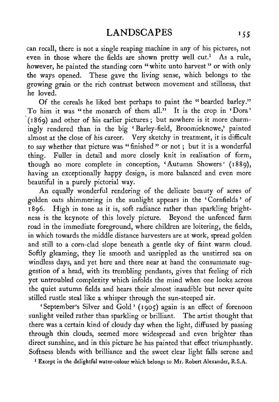can recall, there is not a single reaping machine in any of his pictures, not even in those where the fields are shown pretty well cut.<sup>1</sup> As a rule, however, he painted the standing corn " white unto harvest " or with only the ways opened. These gave the living sense, which belongs to the growing grain or the rich contrast between movement and stillness, that he loved.

Of the cereals he liked best perhaps to paint the " bearded barley." To him it was "the monarch of them all." It is the crop in 'Dora' (1869) and other of his earlier pictures ; but nowhere is it more charmingly rendered than in the big ' Barley-field, Broomieknowe,' painted almost at the close of his career. Very sketchy in treatment, it is difficult to say whether that picture was "finished" or not; but it is a wonderful thing. Fuller in detail and more closely knit in realisation of form, though no more complete in conception, 'Autumn Showers' (1889), having an exceptionally happy design, is more balanced and even more beautiful in a purely pictorial way.

An equally wonderful rendering of the delicate beauty of acres of golden oats shimmering in the sunlight appears in the ' Cornfields ' of 1896. High in tone as it is, soft radiance rather than sparkling bright ness is the keynote of this lovely picture. Beyond the unfenced farm road in the immediate foreground, where children are loitering, the fields, in which towards the middle distance harvesters are at work, spread golden and still to a corn-clad slope beneath a gentle sky of faint warm cloud. Softly gleaming, they lie smooth and unrippled as the unstirred sea on windless days, and yet here and there near at hand the consummate suggestion of a head, with its trembling pendants, gives that feeling of rich yet untroubled complexity which infolds the mind when one looks across the quiet autumn fields and hears their almost inaudible but never quite stilled rustle steal like a whisper through the sun-steeped air.

' September's Silver and Gold ' ( <sup>1</sup> 905) again is an effect of forenoon sunlight veiled rather than sparkling or brilliant. The artist thought that there was a certain kind of cloudy day when the light, diffused by passing through thin clouds, seemed more widespread and even brighter than direct sunshine, and in this picture he has painted that effect triumphantly. Softness blends with brilliance and the sweet clear light falls serene and

' Except in the delightful water-colour which belongs to Mr. Robert Alexander, R.S.A.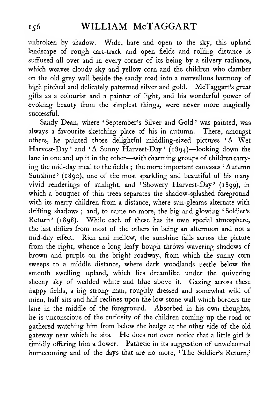unbroken by shadow. Wide, bare and open to the sky, this upland landscape of rough cart-track and open fields and rolling distance is suffused all over and in every corner of its being by a silvery radiance, which weaves cloudy sky and yellow corn and the children who clamber on the old grey wall beside the sandy road into a marvellous harmony of high pitched and delicately patterned silver and gold. McTaggart's great gifts as a colourist and a painter of light, and his wonderful power of evoking beauty from the simplest things, were never more magically successful.

Sandy Dean, where 'September's Silver and Gold' was painted, was always a favourite sketching place of his in autumn. There, amongst others, he painted those delightful middling-sized pictures 'A Wet Harvest-Day' and 'A Sunny Harvest-Day' (1894)—looking down the lane in one and up it in the other—with charming groups of children carry ing the mid-day meal to the fields ; the more important canvases ' Autumn Sunshine' (1890), one of the most sparkling and beautiful of his many vivid renderings of sunlight, and 'Showery Harvest-Day' (1899), in which a bouquet of thin trees separates the shadow-splashed foreground with its merry children from a distance, where sun-gleams alternate with drifting shadows; and, to name no more, the big and glowing 'Soldier's Return' (1898). While each of these has its own special atmosphere, the last differs from most of the others in being an afternoon and not a mid-day effect. Rich and mellow, the sunshine falls across the picture from the right, whence a long leafy bough throws wavering shadows of brown and purple on the bright roadway, from which the sunny corn sweeps to a middle distance, where dark woodlands nestle below the smooth swelling upland, which lies dreamlike under the quivering sheeny sky of wedded white and blue above it. Gazing across these happy fields, a big strong man, roughly dressed and somewhat wild of mien, half sits and half reclines upon the low stone wall which borders the lane in the middle of the foreground. Absorbed in his own thoughts, he is unconscious of the curiosity of the children coming up the road or gathered watching him from below the hedge at the other side of the old gateway near which he sits. He does not even notice that <sup>a</sup> little girl is timidly offering him a flower. Pathetic in its suggestion of unwelcomed homecoming and of the days that are no more, ' The Soldier's Return,'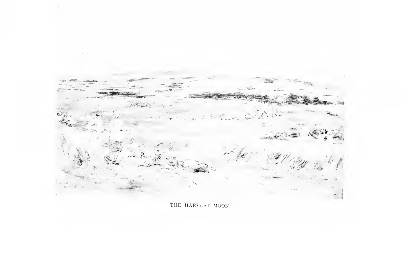

THE HARVEST MOON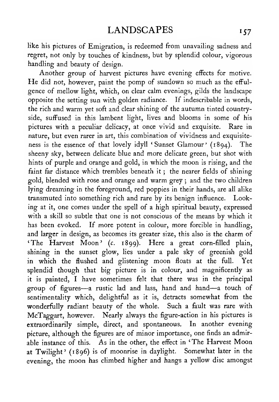like his pictures of Emigration, is redeemed from unavailing sadness and regret, not only by touches of kindness, but by splendid colour, vigorous handling and beauty of design.

Another group of harvest pictures have evening effects for motive. He did not, however, paint the pomp of sundown so much as the effulgence of mellow light, which, on clear calm evenings, gilds the landscape opposite the setting sun with golden radiance. If indescribable in words, the rich and warm yet soft and clear shining of the autumn tinted countryside, suffused in this lambent light, lives and blooms in some of his pictures with a peculiar delicacy, at once vivid and exquisite. Rare in nature, but even rarer in art, this combination of vividness and exquisite ness is the essence of that lovely idyll 'Sunset Glamour' (1894). The sheeny sky, between delicate blue and more delicate green, but shot with hints of purple and orange and gold, in which the moon is rising, and the faint far distance which trembles beneath it ; the nearer fields of shining gold, blended with rose and orange and warm grey ; and the two children lying dreaming in the foreground, red poppies in their hands, are all alike transmuted into something rich and rare by its benign influence. Looking at it, one comes under the spell of a high spiritual beauty, expressed with a skill so subtle that one is not conscious of the means by which it has been evoked. If more potent in colour, more forcible in handling, and larger in design, as becomes its greater size, this also is the charm of 'The Harvest Moon' (c. 1899). Here <sup>a</sup> great corn-filled plain, shining in the sunset glow, lies under a pale sky of greenish gold in which the flushed and glistening moon floats at the full. Yet splendid though that big picture is in colour, and magnificently as it is painted, <sup>I</sup> have sometimes felt that there was in the principal group of figures—<sup>a</sup> rustic lad and lass, hand and hand—<sup>a</sup> touch of sentimentality which, delightful as it is, detracts somewhat from the wonderfully radiant beauty of the whole. Such a fault was rare with McTaggart, however. Nearly always the figure-action in his pictures is extraordinarily simple, direct, and spontaneous. In another evening picture, although the figures are of minor importance, one finds an admirable instance of this. As in the other, the effect in ' The Harvest Moon at Twilight' (1896) is of moonrise in daylight. Somewhat later in the evening, the moon has climbed higher and hangs <sup>a</sup> yellow disc amongst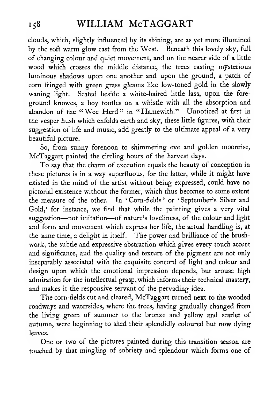clouds, which, slightly influenced by its shining, are as yet more illumined by the soft warm glow cast from the West. Beneath this lovely sky, full of changing colour and quiet movement, and on the nearer side of a little wood which crosses the middle distance, the trees casting mysterious luminous shadows upon one another and upon the ground, a patch of corn fringed with green grass gleams like low-toned gold in the slowly waning light. Seated beside <sup>a</sup> white-haired little lass, upon the foreground knowes, a boy tootles on a whistle with all the absorption and abandon of the "Wee Herd" in "Hamewith." Unnoticed at first in the vesper hush which enfolds earth and sky, these little figures, with their suggestion of life and music, add greatly to the ultimate appeal of a very beautiful picture.

So, from sunny forenoon to shimmering eve and golden moonrise, McTaggart painted the circling hours of the harvest days.

To say that the charm of execution equals the beauty of conception in these pictures is in a way superfluous, for the latter, while it might have existed in the mind of the artist without being expressed, could have no pictorial existence without the former, which thus becomes to some extent the measure of the other. In 'Corn-fields' or 'September's Silver and Gold,' for instance, we find that while the painting gives a very vital suggestion—not imitation—of nature's loveliness, of the colour and light and form and movement which express her life, the actual handling is, at the same time, a delight in itself. The power and brilliance of the brushwork, the subtle and expressive abstraction which gives every touch accent and significance, and the quality and texture of the pigment are not only inseparably associated with the exquisite concord of light and colour and design upon which the emotional impression depends, but arouse high admiration for the intellectual grasp, which informs their technical mastery, and makes it the responsive servant of the pervading idea.

The corn-fields cut and cleared, McTaggart turned next to the wooded roadways and watersides, where the trees, having gradually changed from the living green of summer to the bronze and yellow and scarlet of autumn, were beginning to shed their splendidly coloured but now dying leaves.

One or two of the pictures painted during this transition season are touched by that mingling of sobriety and splendour which forms one of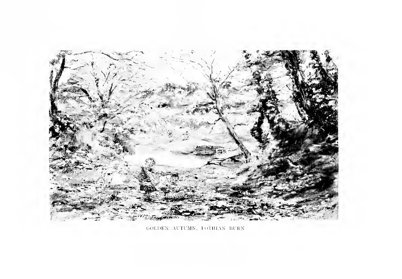

GOLDEN AUTUMN, IOTHIAN BURN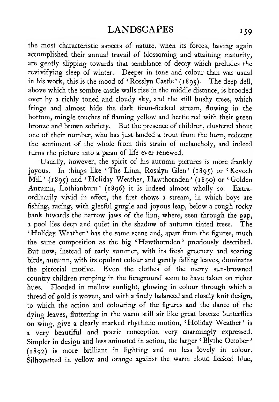the most characteristic aspects of nature, when its forces, having again accomplished their annual travail of blossoming and attaining maturity, are gently slipping towards that semblance of decay which preludes the revivifying sleep of winter. Deeper in tone and colour than was usual in his work, this is the mood of 'Rosslyn Castle' (1895). The deep dell, above which the sombre castle walls rise in the middle distance, is brooded over by a richly toned and cloudy sky, and the still bushy trees, which fringe and almost hide the dark foam-flecked stream, flowing in the bottom, mingle touches of flaming yellow and hectic red with their green bronze and brown sobriety. But the presence of children, clustered about one of their number, who has just landed a trout from the burn, redeems the sentiment of the whole from this strain of melancholy, and indeed turns the picture into a paean of life ever renewed.

Usually, however, the spirit of his autumn pictures is more frankly joyous. In things like 'The Linn, Rosslyn Glen' (1895) or ' Kevoch Mill<sup>'</sup> (1895) and 'Holiday Weather, Hawthornden' (1890) or 'Golden Autumn, Lothianburn' (1896) it is indeed almost wholly so. Extraordinarily vivid in effect, the first shows a stream, in which boys are fishing, racing, with gleeful gurgle and joyous leap, below a rough rocky bank towards the narrow jaws of the linn, where, seen through the gap, a pool lies deep and quiet in the shadow of autumn tinted trees. The 'Holiday Weather' has the same scene and, apart from the figures, much the same composition as the big ' Hawthornden ' previously described. But now, instead of early summer, with its fresh greenery and soaring birds, autumn, with its opulent colour and gently falling leaves, dominates the pictorial motive. Even the clothes of the merry sun-browned country children romping in the foreground seem to have taken on richer hues. Flooded in mellow sunlight, glowing in colour through which a thread of gold is woven, and with a finely balanced and closely knit design, to which the action and colouring of the figures and the dance of the dying leaves, fluttering in the warm still air like great bronze butterflies on wing, give a clearly marked rhythmic motion, 'Holiday Weather' is a very beautiful and poetic conception very charmingly expressed. Simpler in design and less animated in action, the larger ' Blythe October' (1892) is more brilliant in lighting and no less lovely in colour. Silhouetted in yellow and orange against the warm cloud flecked blue,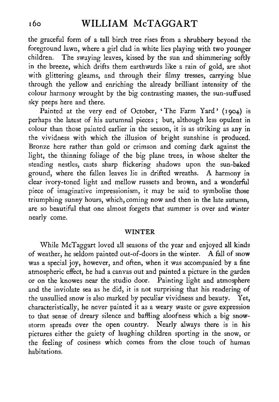# i6o WILLIAM McTAGGART

the graceful form of a tall birch tree rises from a shrubbery beyond the foreground lawn, where a girl clad in white lies playing with two younger children. The swaying leaves, kissed by the sun and shimmering softly in the breeze, which drifts them earthwards like a rain of gold, are shot with glittering gleams, and through their filmy tresses, carrying blue through the yellow and enriching the already brilliant intensity of the colour harmony wrought by the big contrasting masses, the sun-suffused sky peeps here and there.

Painted at the very end of October, 'The Farm Yard' (1904) is perhaps the latest of his autumnal pieces ; but, although less opulent in colour than those painted earlier in the season, it is as striking as any in the vividness with which the illusion of bright sunshine is produced. Bronze here rather than gold or crimson and coming dark against the light, the thinning foliage of the big plane trees, in whose shelter the steading nestles, casts sharp flickering shadows upon the sun-baked ground, where the fallen leaves lie in drifted wreaths. A harmony in clear ivory-toned light and mellow russets and brown, and a wonderful piece of imaginative impressionism, it may be said to symbolise those triumphing sunny hours, which, coming now and then in the late autumn, are so beautiful that one almost forgets that summer is over and winter nearly come.

#### WINTER

While McTaggart loved all seasons of the year and enjoyed all kinds of weather, he seldom painted out-of-doors in the winter. A fall of snow was a special joy, however, and often, when it was accompanied by a fine atmospheric effect, he had a canvas out and painted a picture in the garden or on the knowes near the studio door. Painting light and atmosphere and the inviolate sea as he did, it is not surprising that his rendering of the unsullied snow is also marked by peculiar vividness and beauty. Yet, characteristically, he never painted it as a weary waste or gave expression to that sense of dreary silence and baffling aloofness which a big snowstorm spreads over the open country. Nearly always there is in his pictures either the gaiety of laughing children sporting in the snow, or the feeling of cosiness which comes from the close touch of human habitations.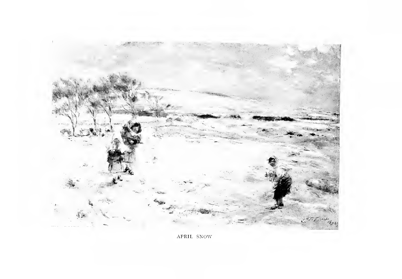

APRIL SNOW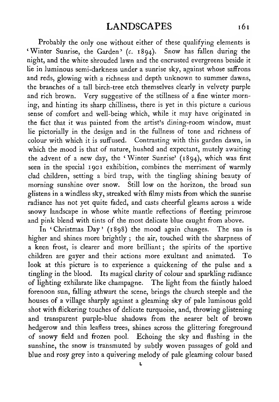Probably the only one without either of these qualifying elements is 'Winter Sunrise, the Garden' (c. 1894). Snow has fallen during the night, and the white shrouded lawn and the encrusted evergreens beside it lie in luminous semi-darkness under a sunrise sky, against whose saffrons and reds, glowing with a richness and depth unknown to summer dawns, the branches of a tall birch-tree etch themselves clearly in velvety purple and rich brown. Very suggestive of the stillness of a fine winter morning, and hinting its sharp chilliness, there is yet in this picture a curious sense of comfort and well-being which, while it may have originated in the fact that it was painted from the artist's dining-room window, must lie pictorially in the design and in the fullness of tone and richness of colour with which it is suffused. Contrasting with this garden dawn, in which the mood is that of nature, hushed and expectant, mutely awaiting the advent of <sup>a</sup> new day, the 'Winter Sunrise' (1894), which was first seen in the special 1901 exhibition, combines the merriment of warmly clad children, setting a bird trap, with the tingling shining beauty of morning sunshine over snow. Still low on the horizon, the broad sun glistens in a windless sky, streaked with filmy mists from which the sunrise radiance has not yet quite faded, and casts cheerful gleams across a wide snowy landscape in whose white mantle reflections of fleeting primrose and pink blend with tints of the most delicate blue caught from above.

In 'Christmas Day' (1898) the mood again changes. The sun is higher and shines more brightly ; the air, touched with the sharpness of a keen frost, is clearer and more brilliant; the spirits of the sportive children are gayer and their actions more exultant and animated. To look at this picture is to experience a quickening of the pulse and a tingling in the blood. Its magical clarity of colour and sparkling radiance of lighting exhilarate like champagne. The light from the faintly haloed forenoon sun, falling athwart the scene, brings the church steeple and the houses of a village sharply against a gleaming sky of pale luminous gold shot with flickering touches of delicate turquoise, and, throwing glistening and transparent purple-blue shadows from the nearer belt of brown hedgerow and thin leafless trees, shines across the glittering foreground of snowy field and frozen pool. Echoing the sky and flashing in the sunshine, the snow is transmuted by subtly woven passages of gold and blue and rosy grey into a quivering melody of pale gleaming colour based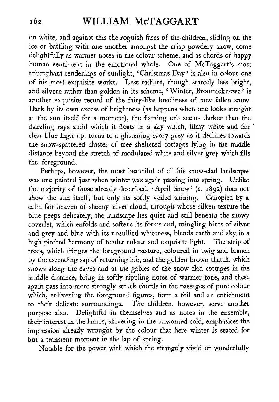on white, and against this the roguish faces of the children, sliding on the ice or battling with one another amongst the crisp powdery snow, come delightfully as warmer notes in the colour scheme, and as chords of happy human sentiment in the emotional whole. One of McTaggart's most triumphant renderings of sunlight, 'Christmas Day' is also in colour one of his most exquisite works. Less radiant, though scarcely less bright, and silvern rather than golden in its scheme, 'Winter, Broomieknowe' is another exquisite record of the fairy-like loveliness of new fallen snow. Dark by its own excess of brightness (as happens when one looks straight at the sun itself for a moment), the flaming orb seems darker than the dazzling rays amid which it floats in a sky which, filmy white and fair 'clear blue high up, turns to a glistening ivory grey as it declines towards the snow-spattered cluster of tree sheltered cottages lying in the middle distance beyond the stretch of modulated white and silver grey which fills the foreground.

Perhaps, however, the most beautiful of all his snow-clad landscapes was one painted just when winter was again passing into spring. Unlike the majority of those already described, 'April Snow' (c. 1892) does not show the sun itself, but only its softly veiled shining. Canopied by a calm fair heaven of sheeny silver cloud, through whose silken texture the blue peeps delicately, the landscape lies quiet and still beneath the snowy coverlet, which enfolds and softens its forms and, mingling hints of silver and grey and blue with its unsullied whiteness, blends earth and sky, in a high pitched harmony of tender colour and exquisite light. The strip of trees, which fringes the foreground pasture, coloured in twig and branch by the ascending sap of returning life, and the golden-brown thatch, which shows along the eaves and at the gables of the snow-clad cottages in the middle distance, bring in softly rippling notes of warmer tone, and these again pass into more strongly struck chords in the passages of pure colour which, enlivening the foreground figures, form a foil and an enrichment to their delicate surroundings. The children, however, serve another purpose also. Delightful in themselves and as notes in the ensemble, their interest in the lambs, shivering in the unwonted cold, emphasises the impression already wrought by the colour that here winter is seated for but <sup>a</sup> transient moment in the lap of spring.

Notable for the power with which the strangely vivid or wonderfully